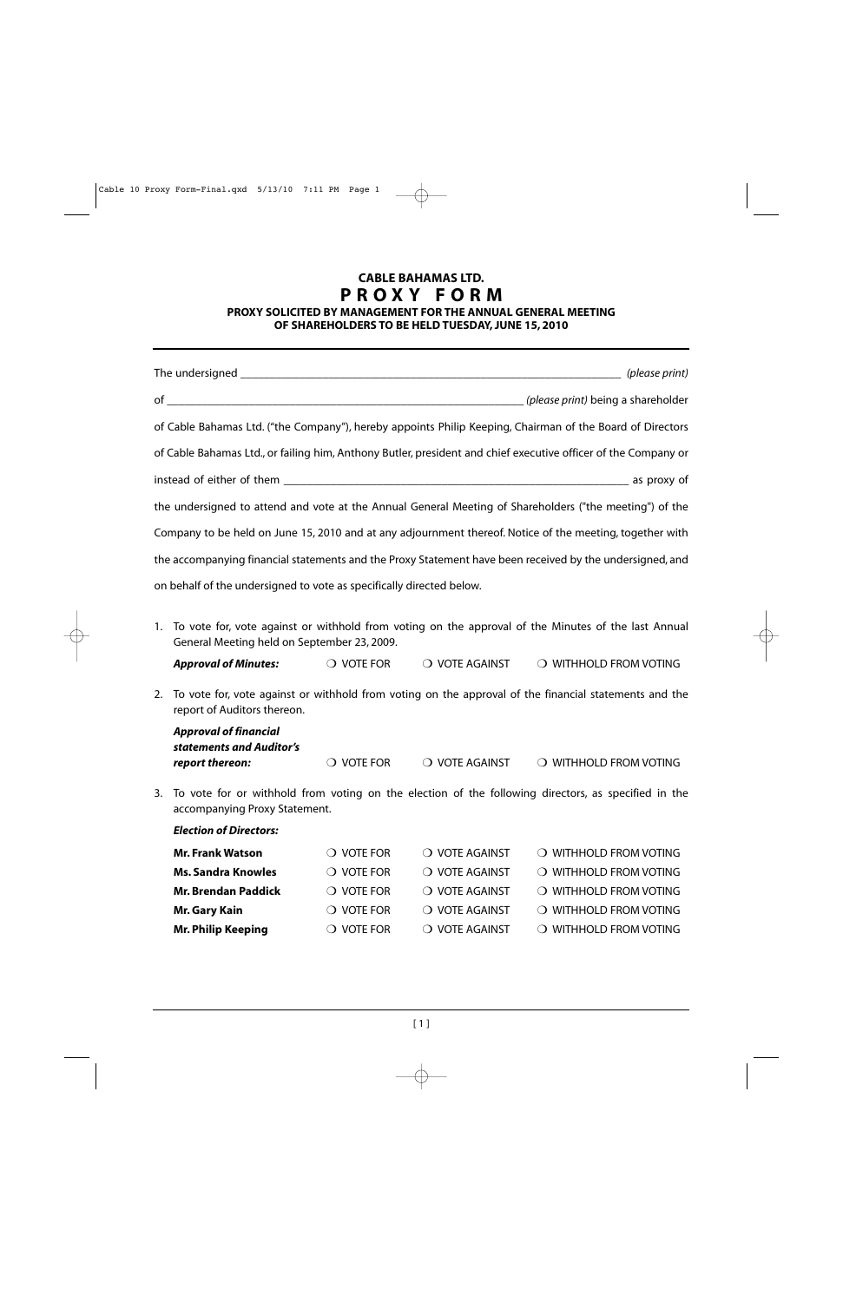#### **PROXY SOLICITED BY MANAGEMENT FOR THE ANNUAL GENERAL MEETING OF SHAREHOLDERS TO BE HELD TUESDAY, JUNE 15, 2010**

|    |                                                                      |                     |                                             | of Cable Bahamas Ltd. ("the Company"), hereby appoints Philip Keeping, Chairman of the Board of Directors      |  |
|----|----------------------------------------------------------------------|---------------------|---------------------------------------------|----------------------------------------------------------------------------------------------------------------|--|
|    |                                                                      |                     |                                             | of Cable Bahamas Ltd., or failing him, Anthony Butler, president and chief executive officer of the Company or |  |
|    |                                                                      |                     |                                             |                                                                                                                |  |
|    |                                                                      |                     |                                             | the undersigned to attend and vote at the Annual General Meeting of Shareholders ("the meeting") of the        |  |
|    |                                                                      |                     |                                             | Company to be held on June 15, 2010 and at any adjournment thereof. Notice of the meeting, together with       |  |
|    |                                                                      |                     |                                             | the accompanying financial statements and the Proxy Statement have been received by the undersigned, and       |  |
|    |                                                                      |                     |                                             |                                                                                                                |  |
|    | on behalf of the undersigned to vote as specifically directed below. |                     |                                             |                                                                                                                |  |
| 1. | General Meeting held on September 23, 2009.                          |                     |                                             | To vote for, vote against or withhold from voting on the approval of the Minutes of the last Annual            |  |
|    | <b>Approval of Minutes:</b>                                          |                     | $\bigcirc$ vote for $\bigcirc$ vote against | O WITHHOLD FROM VOTING                                                                                         |  |
| 2. | report of Auditors thereon.                                          |                     |                                             | To vote for, vote against or withhold from voting on the approval of the financial statements and the          |  |
|    | <b>Approval of financial</b>                                         |                     |                                             |                                                                                                                |  |
|    | statements and Auditor's<br>report thereon:                          | $\bigcirc$ vote for | O VOTE AGAINST                              | O WITHHOLD FROM VOTING                                                                                         |  |
| 3. | accompanying Proxy Statement.                                        |                     |                                             | To vote for or withhold from voting on the election of the following directors, as specified in the            |  |
|    | <b>Election of Directors:</b>                                        |                     |                                             |                                                                                                                |  |
|    | <b>Mr. Frank Watson</b>                                              | $\bigcirc$ vote for | O VOTE AGAINST                              | $\bigcirc$ withhold from voting                                                                                |  |
|    | <b>Ms. Sandra Knowles</b>                                            | $\bigcirc$ vote for | O VOTE AGAINST                              | O WITHHOLD FROM VOTING                                                                                         |  |
|    | <b>Mr. Brendan Paddick</b>                                           | $\bigcirc$ vote for | O VOTE AGAINST                              | O WITHHOLD FROM VOTING                                                                                         |  |
|    | <b>Mr. Gary Kain</b>                                                 | $\bigcirc$ vote for | O VOTE AGAINST                              | O WITHHOLD FROM VOTING                                                                                         |  |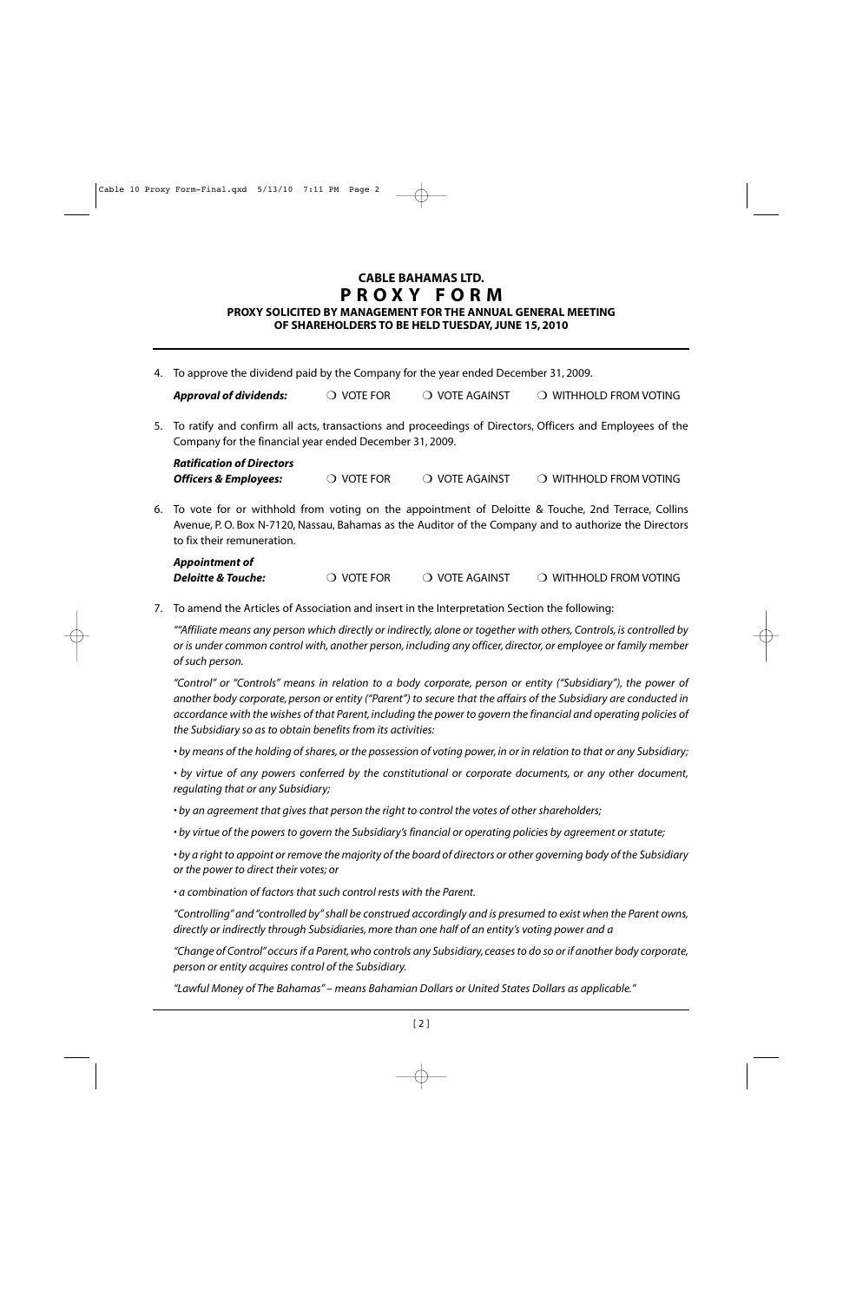#### **PROXY SOLICITED BY MANAGEMENT FOR THE ANNUAL GENERAL MEETING OF SHAREHOLDERS TO BE HELD TUESDAY, JUNE 15, 2010**

4. To approve the dividend paid by the Company for the year ended December 31, 2009.

| <b>Approval of dividends:</b> | $\bigcirc$ vote for | O VOTE AGAINST | O WITHHOLD FROM VOTING |
|-------------------------------|---------------------|----------------|------------------------|
|-------------------------------|---------------------|----------------|------------------------|

5. To ratify and confirm all acts, transactions and proceedings of Directors, Officers and Employees of the Company for the financial year ended December 31, 2009.

| <b>Ratification of Directors</b> |                     |                |                        |
|----------------------------------|---------------------|----------------|------------------------|
| <b>Officers &amp; Employees:</b> | $\bigcirc$ vote for | ○ VOTE AGAINST | ○ WITHHOLD FROM VOTING |

6. To vote for or withhold from voting on the appointment of Deloitte & Touche, 2nd Terrace, Collins Avenue, P. O. Box N-7120, Nassau, Bahamas as the Auditor of the Company and to authorize the Directors to fix their remuneration.

| <b>Appointment of</b>         |                     |                |                        |
|-------------------------------|---------------------|----------------|------------------------|
| <b>Deloitte &amp; Touche:</b> | $\bigcirc$ vote for | O VOTE AGAINST | O WITHHOLD FROM VOTING |

7. To amend the Articles of Association and insert in the Interpretation Section the following:

*""Affiliate means any person which directly or indirectly, alone or together with others, Controls, is controlled by or is under common control with, another person, including any officer, director, or employee or family member of such person.*

*"Control" or "Controls" means in relation to a body corporate, person or entity ("Subsidiary"), the power of another body corporate, person or entity ("Parent") to secure that the affairs of the Subsidiary are conducted in accordance with the wishes of that Parent, including the power to govern the financial and operating policies of the Subsidiary so as to obtain benefits from its activities:*

*• by means of the holding of shares, or the possession of voting power, in or in relation to that or any Subsidiary;*

*• by virtue of any powers conferred by the constitutional or corporate documents, or any other document, regulating that or any Subsidiary;*

*• by an agreement that gives that person the right to control the votes of other shareholders;*

*• by virtue of the powers to govern the Subsidiary's financial or operating policies by agreement or statute;*

*• by a right to appoint or remove the majority of the board of directors or other governing body of the Subsidiary or the power to direct their votes; or*

*• a combination of factors that such control rests with the Parent.*

*"Controlling" and "controlled by" shall be construed accordingly and is presumed to exist when the Parent owns, directly or indirectly through Subsidiaries, more than one half of an entity's voting power and a* 

*"Change of Control" occurs if a Parent, who controls any Subsidiary, ceases to do so or if another body corporate, person or entity acquires control of the Subsidiary.*

*"Lawful Money of The Bahamas" – means Bahamian Dollars or United States Dollars as applicable."*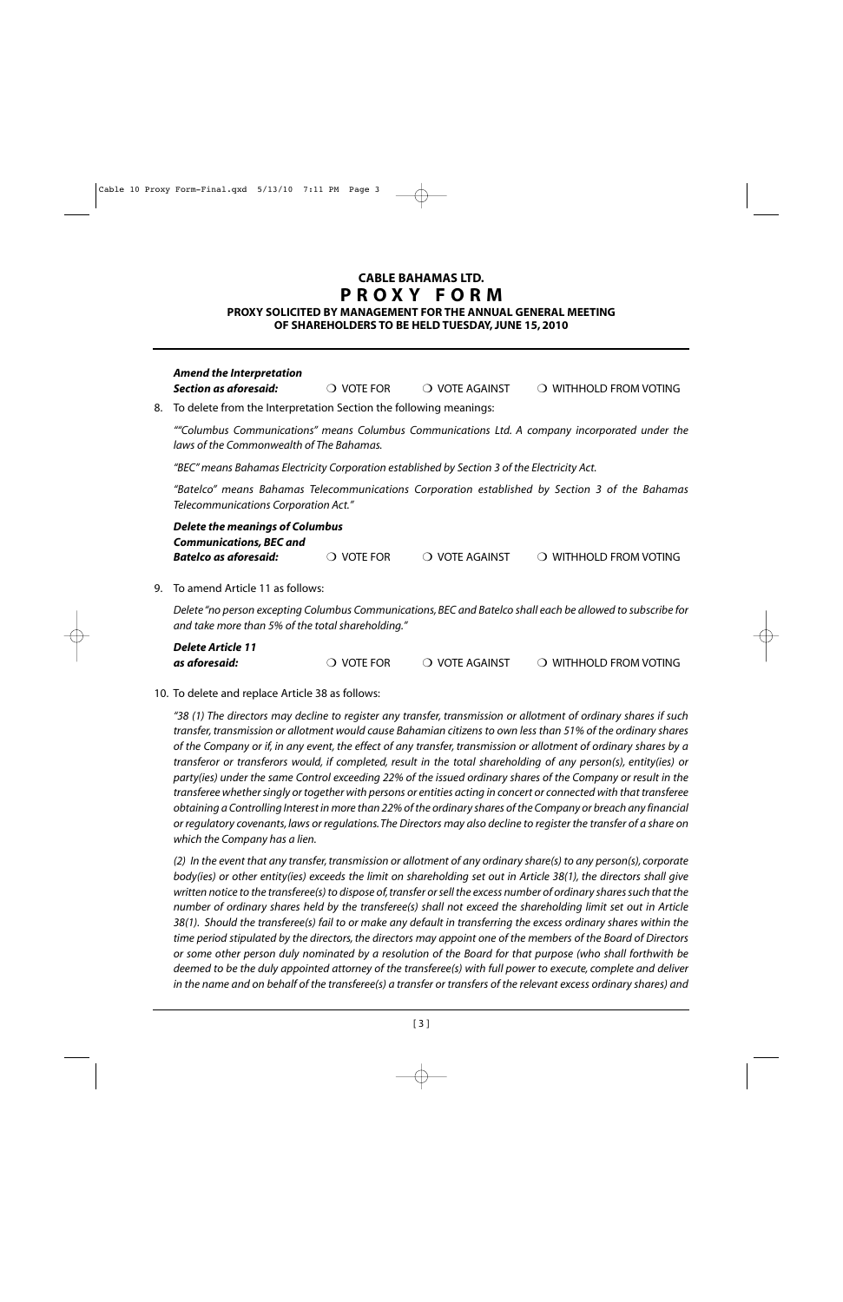#### **PROXY SOLICITED BY MANAGEMENT FOR THE ANNUAL GENERAL MEETING OF SHAREHOLDERS TO BE HELD TUESDAY, JUNE 15, 2010**

| Section as aforesaid:                                                                                                                      | <b>VOTE FOR</b>                     | <b>VOTE AGAINST</b><br>$\left( \right)$ | WITHHOLD FROM VOTING            |  |  |
|--------------------------------------------------------------------------------------------------------------------------------------------|-------------------------------------|-----------------------------------------|---------------------------------|--|--|
| 8. To delete from the Interpretation Section the following meanings:                                                                       |                                     |                                         |                                 |  |  |
| ""Columbus Communications" means Columbus Communications Ltd. A company incorporated under the<br>laws of the Commonwealth of The Bahamas. |                                     |                                         |                                 |  |  |
| "BEC" means Bahamas Electricity Corporation established by Section 3 of the Electricity Act.                                               |                                     |                                         |                                 |  |  |
| "Batelco" means Bahamas Telecommunications Corporation established by Section 3 of the Bahamas<br>Telecommunications Corporation Act."     |                                     |                                         |                                 |  |  |
| <b>Delete the meanings of Columbus</b><br><b>Communications, BEC and</b>                                                                   |                                     |                                         |                                 |  |  |
| <b>Batelco as aforesaid:</b>                                                                                                               | <b>VOTE FOR</b><br>$\left( \right)$ | $\bigcirc$ vote against                 | $\bigcirc$ withhold from voting |  |  |
| 9. To amend Article 11 as follows:                                                                                                         |                                     |                                         |                                 |  |  |

*Delete "no person excepting Columbus Communications, BEC and Batelco shall each be allowed to subscribe for and take more than 5% of the total shareholding."*

| <b>Delete Article 11</b> |                     |                |                                 |
|--------------------------|---------------------|----------------|---------------------------------|
| as aforesaid:            | $\bigcirc$ vote for | ○ VOTE AGAINST | $\bigcirc$ withhold from voting |

#### 10. To delete and replace Article 38 as follows:

*Amend the Interpretation* 

*"38 (1) The directors may decline to register any transfer, transmission or allotment of ordinary shares if such transfer, transmission or allotment would cause Bahamian citizens to own less than 51% of the ordinary shares of the Company or if, in any event, the effect of any transfer, transmission or allotment of ordinary shares by a transferor or transferors would, if completed, result in the total shareholding of any person(s), entity(ies) or party(ies) under the same Control exceeding 22% of the issued ordinary shares of the Company or result in the transferee whether singly or together with persons or entities acting in concert or connected with that transferee obtaining a Controlling Interest in more than 22% of the ordinary shares of the Company or breach any financial or regulatory covenants, laws or regulations.The Directors may also decline to register the transfer of a share on which the Company has a lien.*

*(2) In the event that any transfer, transmission or allotment of any ordinary share(s) to any person(s), corporate body(ies) or other entity(ies) exceeds the limit on shareholding set out in Article 38(1), the directors shall give written notice to the transferee(s) to dispose of, transfer or sell the excess number of ordinary shares such that the number of ordinary shares held by the transferee(s) shall not exceed the shareholding limit set out in Article 38(1). Should the transferee(s) fail to or make any default in transferring the excess ordinary shares within the time period stipulated by the directors, the directors may appoint one of the members of the Board of Directors or some other person duly nominated by a resolution of the Board for that purpose (who shall forthwith be deemed to be the duly appointed attorney of the transferee(s) with full power to execute, complete and deliver in the name and on behalf of the transferee(s) a transfer or transfers of the relevant excess ordinary shares) and*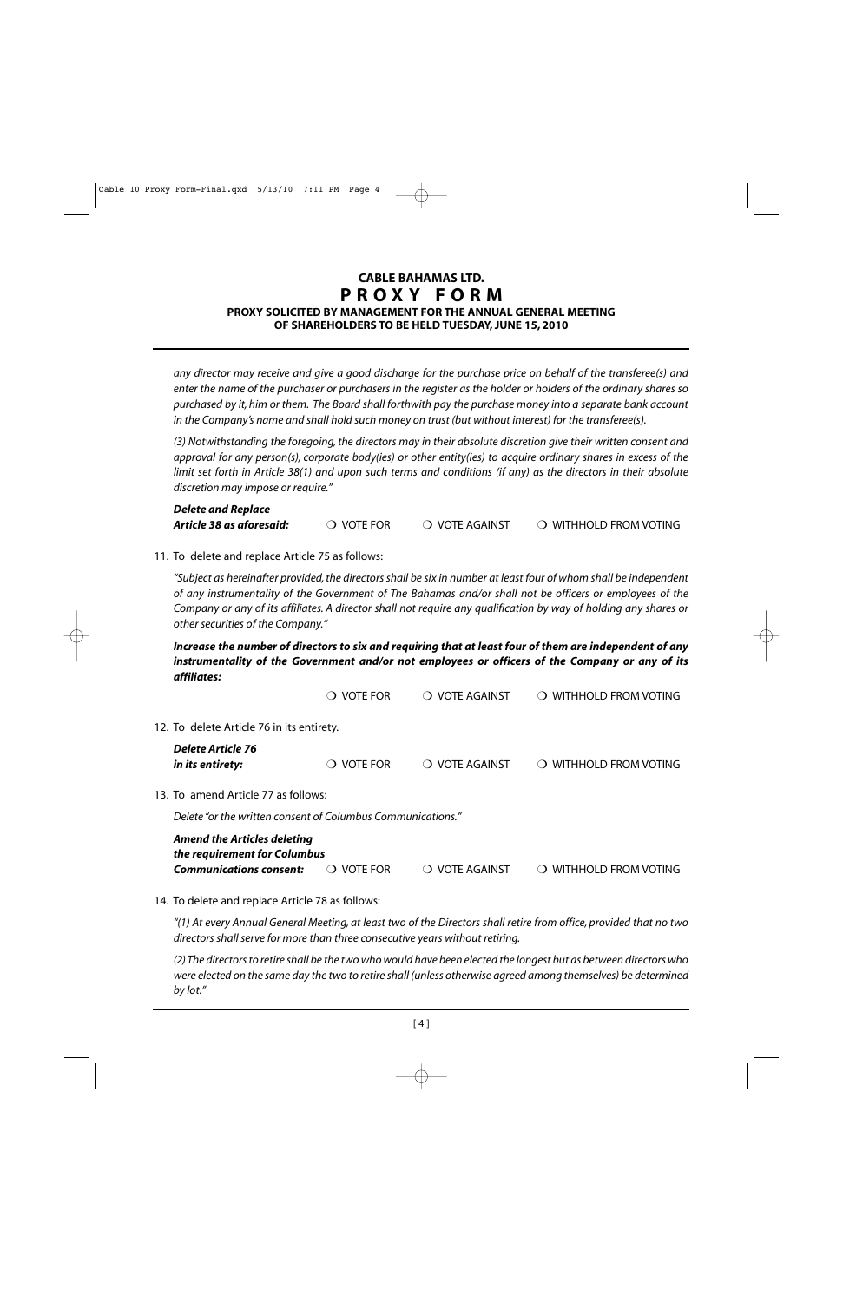#### **CABLE BAHAMAS LTD. PROXY FORM PROXY SOLICITED BY MANAGEMENT FOR THE ANNUAL GENERAL MEETING OF SHAREHOLDERS TO BE HELD TUESDAY, JUNE 15, 2010**

*any director may receive and give a good discharge for the purchase price on behalf of the transferee(s) and enter the name of the purchaser or purchasers in the register as the holder or holders of the ordinary shares so purchased by it, him or them. The Board shall forthwith pay the purchase money into a separate bank account in the Company's name and shall hold such money on trust (but without interest) for the transferee(s).*

*(3) Notwithstanding the foregoing, the directors may in their absolute discretion give their written consent and approval for any person(s), corporate body(ies) or other entity(ies) to acquire ordinary shares in excess of the limit set forth in Article 38(1) and upon such terms and conditions (if any) as the directors in their absolute discretion may impose or require."*

| <b>Delete and Replace</b> |                     |                |                        |
|---------------------------|---------------------|----------------|------------------------|
| Article 38 as aforesaid:  | $\bigcirc$ vote for | ○ VOTE AGAINST | O WITHHOLD FROM VOTING |

11. To delete and replace Article 75 as follows:

*"Subject as hereinafter provided, the directors shall be six in number at least four of whom shall be independent of any instrumentality of the Government of The Bahamas and/or shall not be officers or employees of the Company or any of its affiliates. A director shall not require any qualification by way of holding any shares or other securities of the Company."*

*Increase the number of directors to six and requiring that at least four of them are independent of any instrumentality of the Government and/or not employees or officers of the Company or any of its affiliates:*

|                                                                      | VOTE FOR                                  | <b>VOTE AGAINST</b>                                                                                              | <b>WITHHOLD FROM VOTING</b>                                 |
|----------------------------------------------------------------------|-------------------------------------------|------------------------------------------------------------------------------------------------------------------|-------------------------------------------------------------|
|                                                                      |                                           |                                                                                                                  |                                                             |
| Delete Article 76<br>in its entirety:                                | <b>VOTE FOR</b><br>$\left( \quad \right)$ | <b>VOTE AGAINST</b><br>$\left( \right)$                                                                          | <b>WITHHOLD FROM VOTING</b>                                 |
|                                                                      |                                           |                                                                                                                  |                                                             |
|                                                                      |                                           |                                                                                                                  |                                                             |
| <b>Amend the Articles deleting</b><br><b>Communications consent:</b> | VOTE FOR<br>$\left( \right)$              | <b>VOTE AGAINST</b><br>$\left( \quad \right)$                                                                    | WITHHOLD FROM VOTING                                        |
|                                                                      |                                           | 12. To delete Article 76 in its entirety.<br>13. To amend Article 77 as follows:<br>the requirement for Columbus | Delete "or the written consent of Columbus Communications." |

14. To delete and replace Article 78 as follows:

*"(1) At every Annual General Meeting, at least two of the Directors shall retire from office, provided that no two directors shall serve for more than three consecutive years without retiring.*

*(2) The directors to retire shall be the two who would have been elected the longest but as between directors who were elected on the same day the two to retire shall (unless otherwise agreed among themselves) be determined by lot."*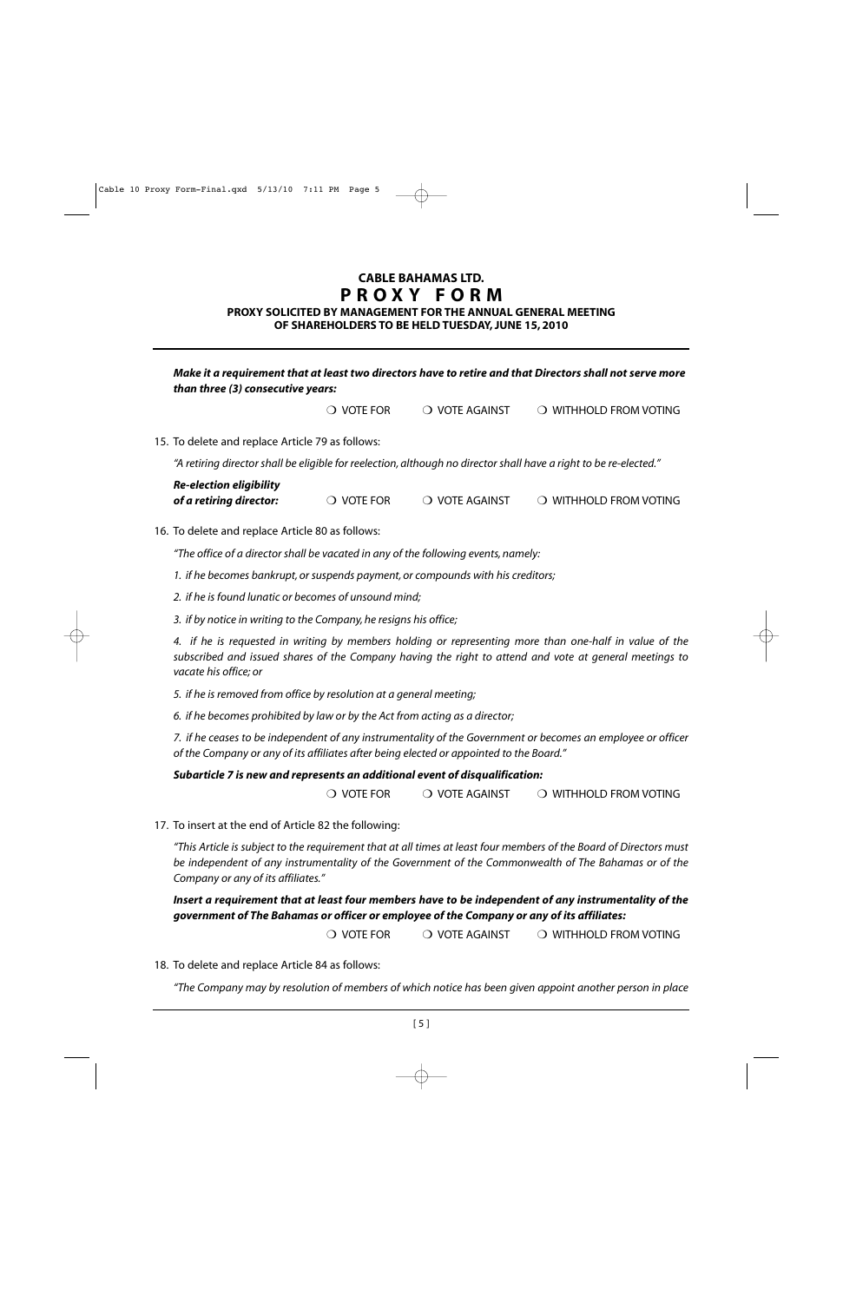#### **PROXY SOLICITED BY MANAGEMENT FOR THE ANNUAL GENERAL MEETING OF SHAREHOLDERS TO BE HELD TUESDAY, JUNE 15, 2010**

#### *Make it a requirement that at least two directors have to retire and that Directors shall not serve more than three (3) consecutive years:*

❍ VOTE FOR ❍ VOTE AGAINST ❍ WITHHOLD FROM VOTING

15. To delete and replace Article 79 as follows:

*"A retiring director shall be eligible for reelection, although no director shall have a right to be re-elected."*

| <b>Re-election eligibility</b> |                     |                |                        |
|--------------------------------|---------------------|----------------|------------------------|
| of a retiring director:        | $\bigcirc$ vote for | O VOTE AGAINST | O WITHHOLD FROM VOTING |

#### 16. To delete and replace Article 80 as follows:

*"The office of a director shall be vacated in any of the following events, namely:*

*1. if he becomes bankrupt, or suspends payment, or compounds with his creditors;*

*2. if he is found lunatic or becomes of unsound mind;*

*3. if by notice in writing to the Company, he resigns his office;*

*4. if he is requested in writing by members holding or representing more than one-half in value of the subscribed and issued shares of the Company having the right to attend and vote at general meetings to vacate his office; or*

*5. if he is removed from office by resolution at a general meeting;*

*6. if he becomes prohibited by law or by the Act from acting as a director;*

*7. if he ceases to be independent of any instrumentality of the Government or becomes an employee or officer of the Company or any of its affiliates after being elected or appointed to the Board."*

#### *Subarticle 7 is new and represents an additional event of disqualification:*

❍ VOTE FOR ❍ VOTE AGAINST ❍ WITHHOLD FROM VOTING

17. To insert at the end of Article 82 the following:

*"This Article is subject to the requirement that at all times at least four members of the Board of Directors must be independent of any instrumentality of the Government of the Commonwealth of The Bahamas or of the Company or any of its affiliates."*

*Insert a requirement that at least four members have to be independent of any instrumentality of the government of The Bahamas or officer or employee of the Company or any of its affiliates:*

❍ VOTE FOR ❍ VOTE AGAINST ❍ WITHHOLD FROM VOTING

18. To delete and replace Article 84 as follows:

*"The Company may by resolution of members of which notice has been given appoint another person in place*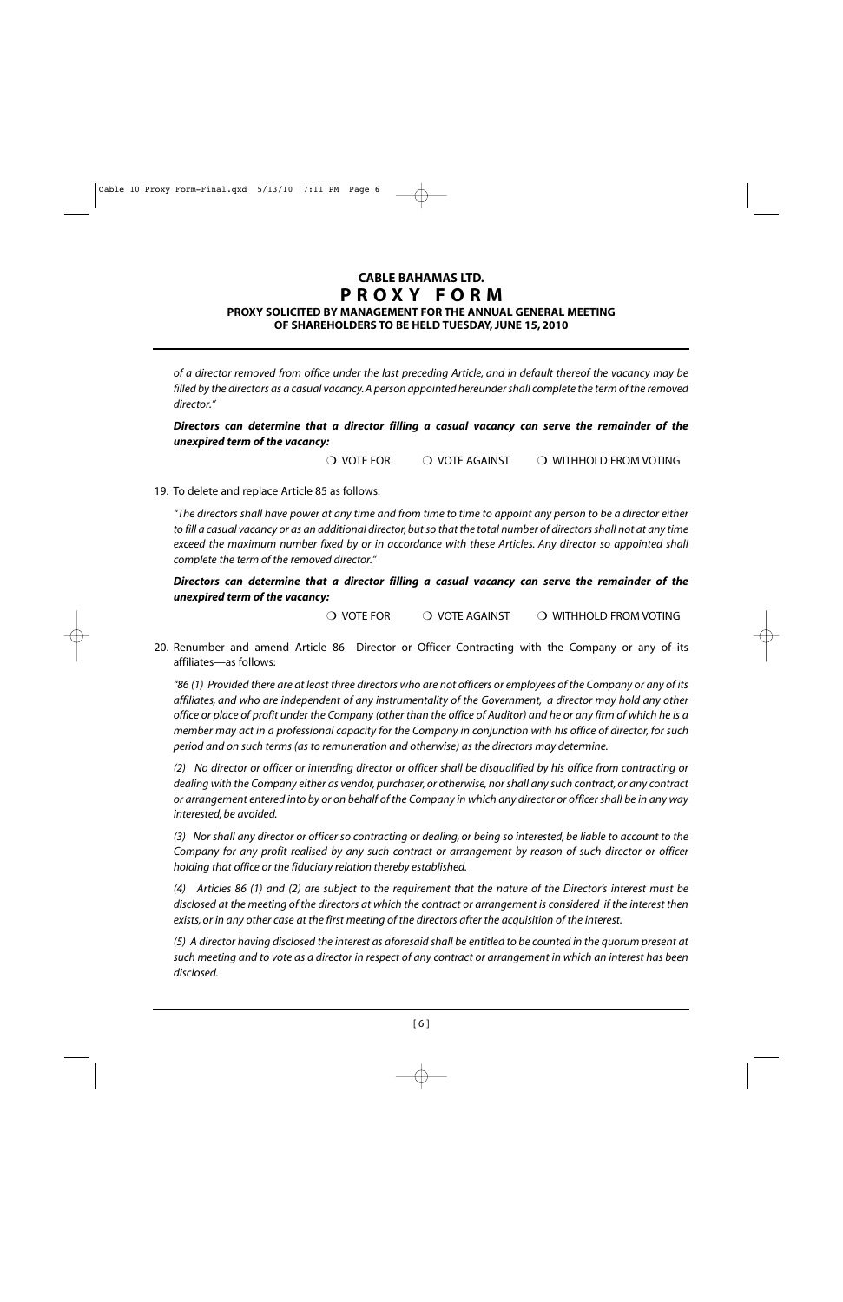#### **PROXY SOLICITED BY MANAGEMENT FOR THE ANNUAL GENERAL MEETING OF SHAREHOLDERS TO BE HELD TUESDAY, JUNE 15, 2010**

*of a director removed from office under the last preceding Article, and in default thereof the vacancy may be filled by the directors as a casual vacancy. A person appointed hereunder shall complete the term of the removed director."*

#### *Directors can determine that a director filling a casual vacancy can serve the remainder of the unexpired term of the vacancy:*

❍ VOTE FOR ❍ VOTE AGAINST ❍ WITHHOLD FROM VOTING

#### 19. To delete and replace Article 85 as follows:

*"The directors shall have power at any time and from time to time to appoint any person to be a director either to fill a casual vacancy or as an additional director, but so that the total number of directors shall not at any time exceed the maximum number fixed by or in accordance with these Articles. Any director so appointed shall complete the term of the removed director."*

*Directors can determine that a director filling a casual vacancy can serve the remainder of the unexpired term of the vacancy:*

❍ VOTE FOR ❍ VOTE AGAINST ❍ WITHHOLD FROM VOTING

20. Renumber and amend Article 86—Director or Officer Contracting with the Company or any of its affiliates—as follows:

*"86 (1) Provided there are at least three directors who are not officers or employees of the Company or any of its affiliates, and who are independent of any instrumentality of the Government, a director may hold any other office or place of profit under the Company (other than the office of Auditor) and he or any firm of which he is a member may act in a professional capacity for the Company in conjunction with his office of director, for such period and on such terms (as to remuneration and otherwise) as the directors may determine.*

*(2) No director or officer or intending director or officer shall be disqualified by his office from contracting or dealing with the Company either as vendor, purchaser, or otherwise, nor shall any such contract, or any contract or arrangement entered into by or on behalf of the Company in which any director or officer shall be in any way interested, be avoided.*

*(3) Nor shall any director or officer so contracting or dealing, or being so interested, be liable to account to the Company for any profit realised by any such contract or arrangement by reason of such director or officer holding that office or the fiduciary relation thereby established.*

*(4) Articles 86 (1) and (2) are subject to the requirement that the nature of the Director's interest must be disclosed at the meeting of the directors at which the contract or arrangement is considered if the interest then exists, or in any other case at the first meeting of the directors after the acquisition of the interest.*

*(5) A director having disclosed the interest as aforesaid shall be entitled to be counted in the quorum present at such meeting and to vote as a director in respect of any contract or arrangement in which an interest has been disclosed.*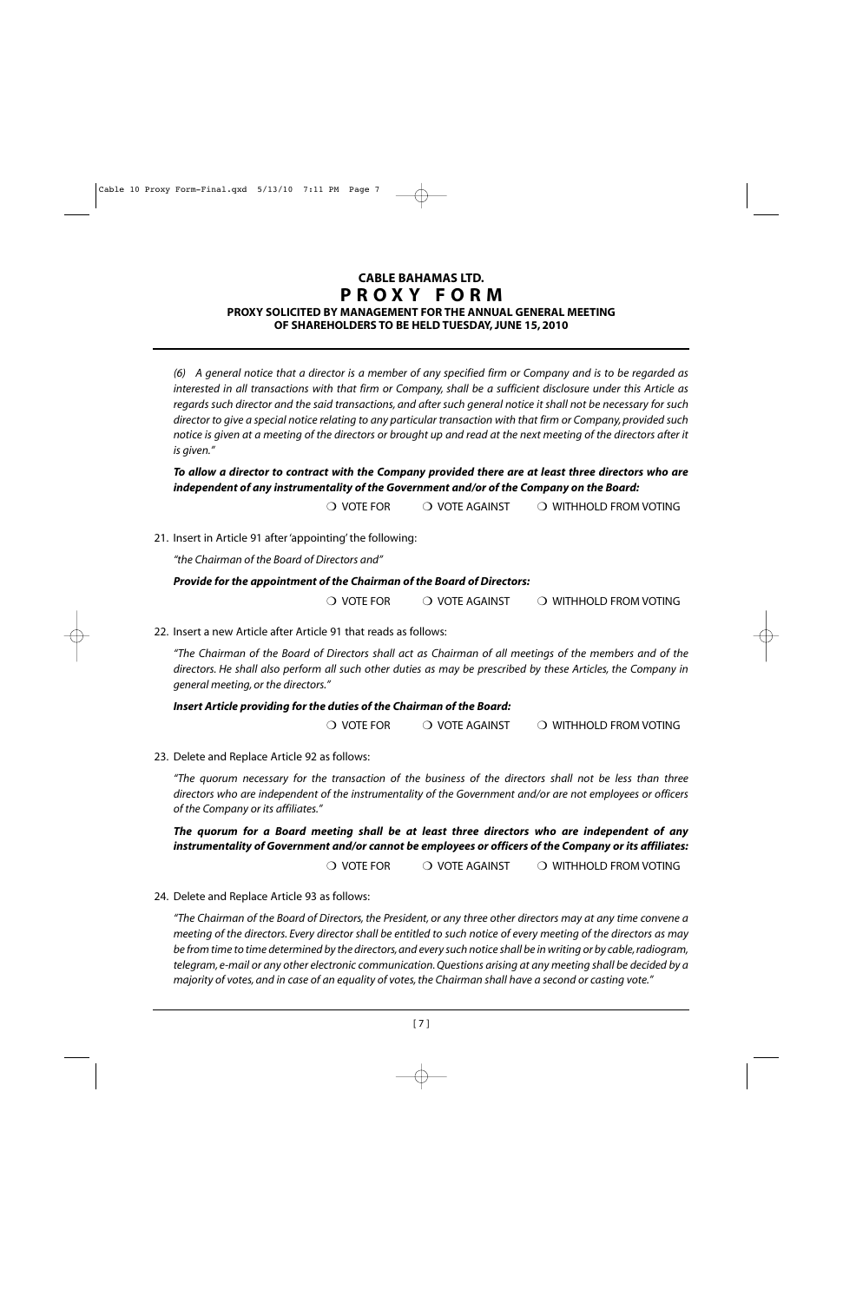#### **PROXY SOLICITED BY MANAGEMENT FOR THE ANNUAL GENERAL MEETING OF SHAREHOLDERS TO BE HELD TUESDAY, JUNE 15, 2010**

*(6) A general notice that a director is a member of any specified firm or Company and is to be regarded as interested in all transactions with that firm or Company, shall be a sufficient disclosure under this Article as regards such director and the said transactions, and after such general notice it shall not be necessary for such director to give a special notice relating to any particular transaction with that firm or Company, provided such notice is given at a meeting of the directors or brought up and read at the next meeting of the directors after it is given."*

*To allow a director to contract with the Company provided there are at least three directors who are independent of any instrumentality of the Government and/or of the Company on the Board:*

❍ VOTE FOR ❍ VOTE AGAINST ❍ WITHHOLD FROM VOTING

21. Insert in Article 91 after 'appointing' the following:

*"the Chairman of the Board of Directors and"*

#### *Provide for the appointment of the Chairman of the Board of Directors:*

❍ VOTE FOR ❍ VOTE AGAINST ❍ WITHHOLD FROM VOTING

22. Insert a new Article after Article 91 that reads as follows:

*"The Chairman of the Board of Directors shall act as Chairman of all meetings of the members and of the directors. He shall also perform all such other duties as may be prescribed by these Articles, the Company in general meeting, or the directors."*

#### *Insert Article providing for the duties of the Chairman of the Board:*

❍ VOTE FOR ❍ VOTE AGAINST ❍ WITHHOLD FROM VOTING

23. Delete and Replace Article 92 as follows:

*"The quorum necessary for the transaction of the business of the directors shall not be less than three directors who are independent of the instrumentality of the Government and/or are not employees or officers of the Company or its affiliates."*

*The quorum for a Board meeting shall be at least three directors who are independent of any instrumentality of Government and/or cannot be employees or officers of the Company or its affiliates:*

❍ VOTE FOR ❍ VOTE AGAINST ❍ WITHHOLD FROM VOTING

24. Delete and Replace Article 93 as follows:

*"The Chairman of the Board of Directors, the President, or any three other directors may at any time convene a meeting of the directors. Every director shall be entitled to such notice of every meeting of the directors as may be from time to time determined by the directors, and every such notice shall be in writing or by cable, radiogram, telegram, e-mail or any other electronic communication. Questions arising at any meeting shall be decided by a majority of votes, and in case of an equality of votes, the Chairman shall have a second or casting vote."*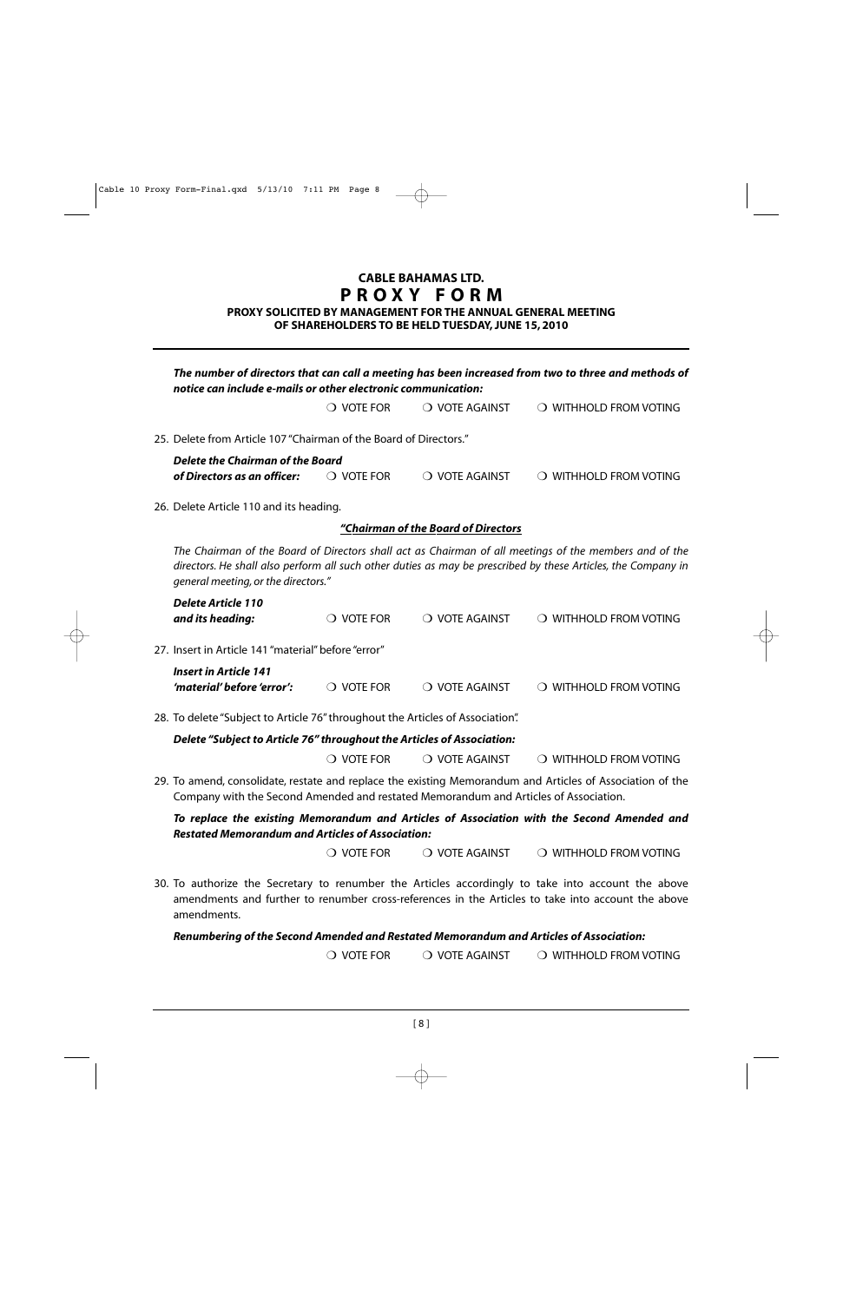**PROXY SOLICITED BY MANAGEMENT FOR THE ANNUAL GENERAL MEETING OF SHAREHOLDERS TO BE HELD TUESDAY, JUNE 15, 2010**

| The number of directors that can call a meeting has been increased from two to three and methods of<br>notice can include e-mails or other electronic communication: |                     |                                     |                                                                                                                                                                                                                         |
|----------------------------------------------------------------------------------------------------------------------------------------------------------------------|---------------------|-------------------------------------|-------------------------------------------------------------------------------------------------------------------------------------------------------------------------------------------------------------------------|
|                                                                                                                                                                      | $\bigcirc$ vote for | O VOTE AGAINST                      | O WITHHOLD FROM VOTING                                                                                                                                                                                                  |
| 25. Delete from Article 107 "Chairman of the Board of Directors."                                                                                                    |                     |                                     |                                                                                                                                                                                                                         |
| <b>Delete the Chairman of the Board</b>                                                                                                                              |                     |                                     |                                                                                                                                                                                                                         |
| of Directors as an officer:                                                                                                                                          | $\bigcirc$ vote for | O VOTE AGAINST                      | O WITHHOLD FROM VOTING                                                                                                                                                                                                  |
| 26. Delete Article 110 and its heading.                                                                                                                              |                     |                                     |                                                                                                                                                                                                                         |
|                                                                                                                                                                      |                     | "Chairman of the Board of Directors |                                                                                                                                                                                                                         |
| general meeting, or the directors."                                                                                                                                  |                     |                                     | The Chairman of the Board of Directors shall act as Chairman of all meetings of the members and of the<br>directors. He shall also perform all such other duties as may be prescribed by these Articles, the Company in |
| <b>Delete Article 110</b><br>and its heading:                                                                                                                        | $\bigcirc$ vote for | O VOTE AGAINST                      | O WITHHOLD FROM VOTING                                                                                                                                                                                                  |
| 27. Insert in Article 141 "material" before "error"                                                                                                                  |                     |                                     |                                                                                                                                                                                                                         |
| <b>Insert in Article 141</b><br>'material' before 'error':                                                                                                           | $\bigcirc$ vote for | O VOTE AGAINST                      | O WITHHOLD FROM VOTING                                                                                                                                                                                                  |
| 28. To delete "Subject to Article 76" throughout the Articles of Association".                                                                                       |                     |                                     |                                                                                                                                                                                                                         |
| Delete "Subject to Article 76" throughout the Articles of Association:                                                                                               |                     |                                     |                                                                                                                                                                                                                         |
|                                                                                                                                                                      | $\bigcirc$ vote for | O VOTE AGAINST                      | O WITHHOLD FROM VOTING                                                                                                                                                                                                  |
| Company with the Second Amended and restated Memorandum and Articles of Association.                                                                                 |                     |                                     | 29. To amend, consolidate, restate and replace the existing Memorandum and Articles of Association of the                                                                                                               |
| <b>Restated Memorandum and Articles of Association:</b>                                                                                                              |                     |                                     | To replace the existing Memorandum and Articles of Association with the Second Amended and                                                                                                                              |
|                                                                                                                                                                      | $\bigcirc$ vote for | $\bigcirc$ vote against             | O WITHHOLD FROM VOTING                                                                                                                                                                                                  |
| amendments.                                                                                                                                                          |                     |                                     | 30. To authorize the Secretary to renumber the Articles accordingly to take into account the above<br>amendments and further to renumber cross-references in the Articles to take into account the above                |
| Renumbering of the Second Amended and Restated Memorandum and Articles of Association:                                                                               |                     |                                     |                                                                                                                                                                                                                         |

❍ VOTE FOR ❍ VOTE AGAINST ❍ WITHHOLD FROM VOTING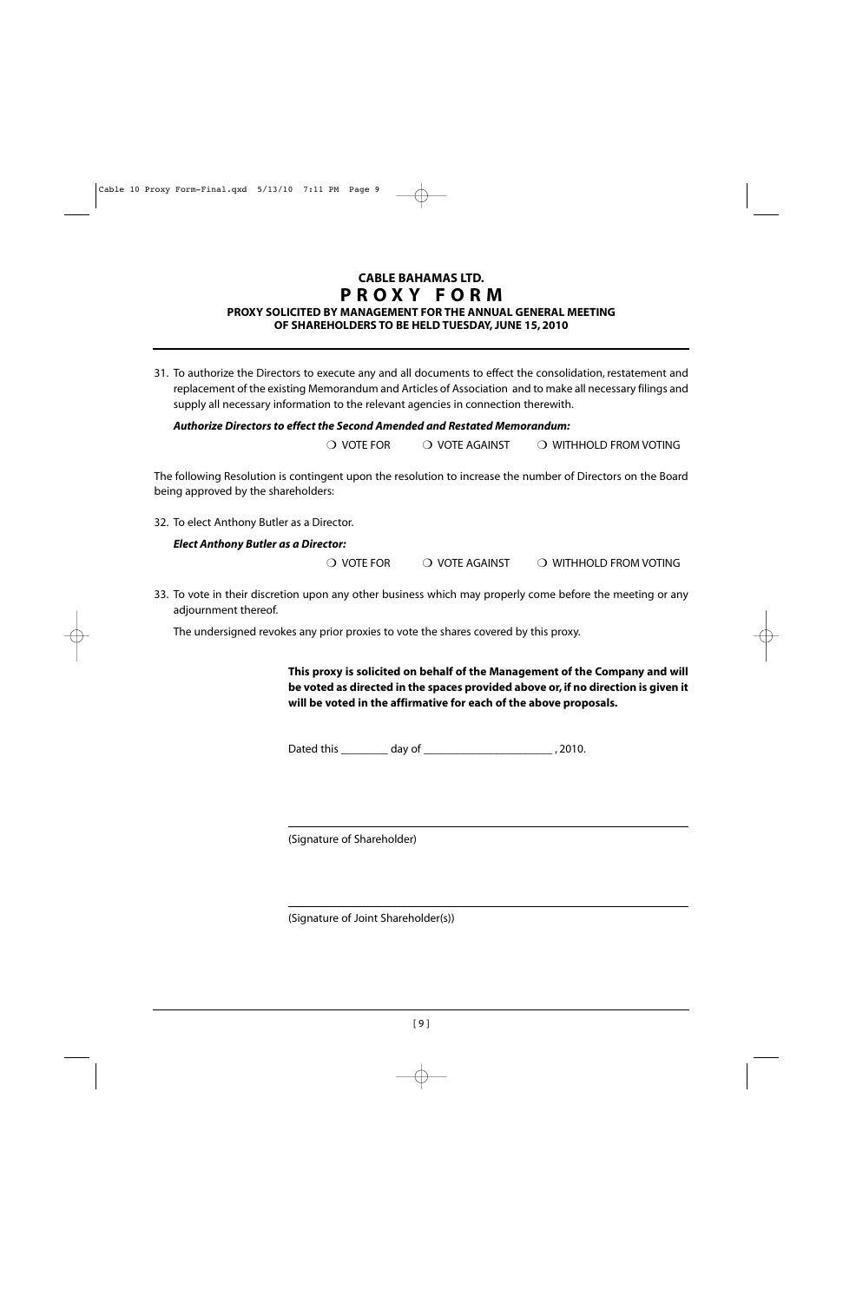### **CABLE BAHAMAS LTD. PROXY FORM PROXY SOLICITED BY MANAGEMENT FOR THE ANNUAL GENERAL MEETING**

#### **OF SHAREHOLDERS TO BE HELD TUESDAY, JUNE 15, 2010**

31. To authorize the Directors to execute any and all documents to effect the consolidation, restatement and replacement of the existing Memorandum and Articles of Association and to make all necessary filings and supply all necessary information to the relevant agencies in connection therewith.

#### *Authorize Directors to effect the Second Amended and Restated Memorandum:*

❍ VOTE FOR ❍ VOTE AGAINST ❍ WITHHOLD FROM VOTING

The following Resolution is contingent upon the resolution to increase the number of Directors on the Board being approved by the shareholders:

32. To elect Anthony Butler as a Director.

#### *Elect Anthony Butler as a Director:*

❍ VOTE FOR ❍ VOTE AGAINST ❍ WITHHOLD FROM VOTING

33. To vote in their discretion upon any other business which may properly come before the meeting or any adjournment thereof.

The undersigned revokes any prior proxies to vote the shares covered by this proxy.

**This proxy is solicited on behalf of the Management of the Company and will be voted as directed in the spaces provided above or, if no direction is given it will be voted in the affirmative for each of the above proposals.**

Dated this day of the case of the case of the case of the case of the case of the case of the case of the case o

(Signature of Shareholder)

(Signature of Joint Shareholder(s))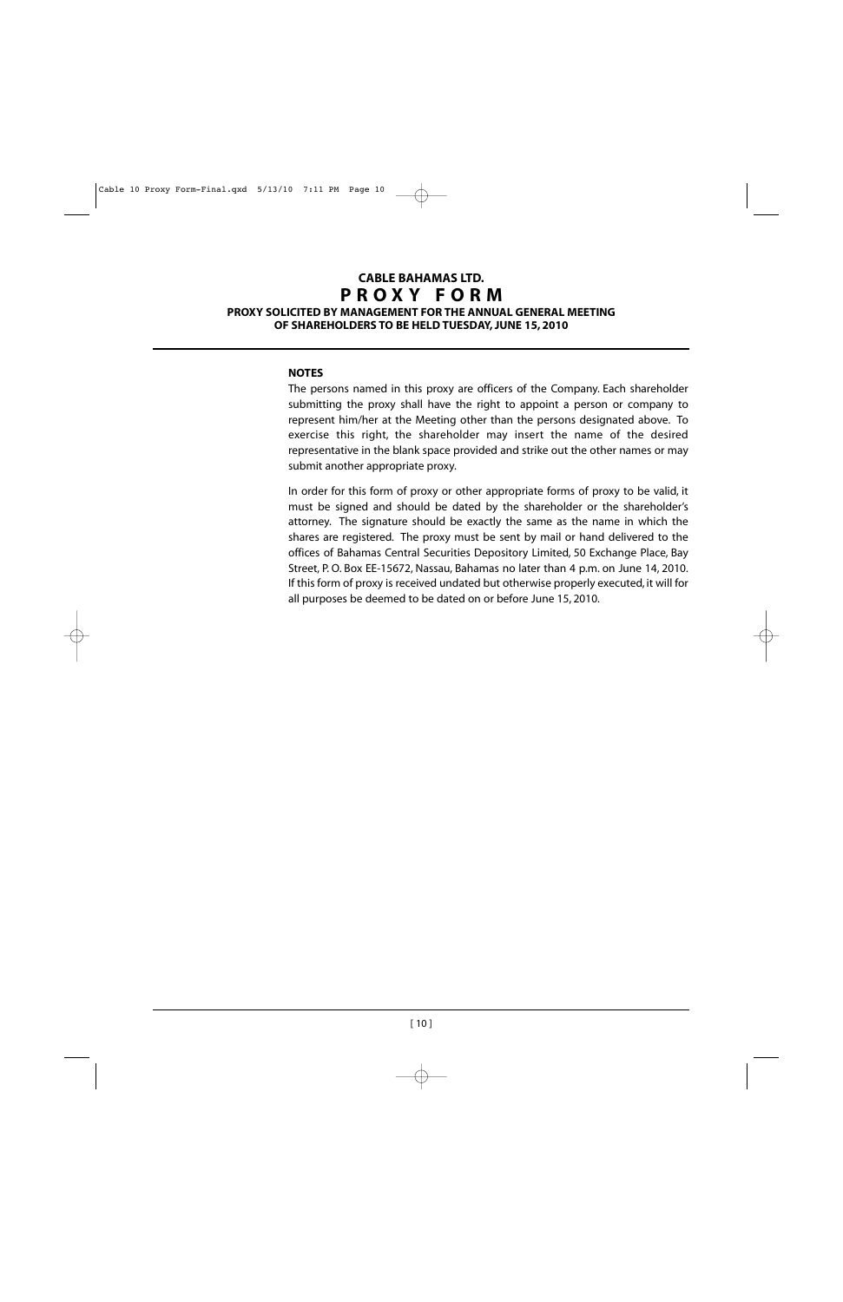#### **CABLE BAHAMAS LTD. PROXY FORM PROXY SOLICITED BY MANAGEMENT FOR THE ANNUAL GENERAL MEETING**

**OF SHAREHOLDERS TO BE HELD TUESDAY, JUNE 15, 2010**

#### **NOTES**

The persons named in this proxy are officers of the Company. Each shareholder submitting the proxy shall have the right to appoint a person or company to represent him/her at the Meeting other than the persons designated above. To exercise this right, the shareholder may insert the name of the desired representative in the blank space provided and strike out the other names or may submit another appropriate proxy.

In order for this form of proxy or other appropriate forms of proxy to be valid, it must be signed and should be dated by the shareholder or the shareholder's attorney. The signature should be exactly the same as the name in which the shares are registered. The proxy must be sent by mail or hand delivered to the offices of Bahamas Central Securities Depository Limited, 50 Exchange Place, Bay Street, P. O. Box EE-15672, Nassau, Bahamas no later than 4 p.m. on June 14, 2010. If this form of proxy is received undated but otherwise properly executed, it will for all purposes be deemed to be dated on or before June 15, 2010.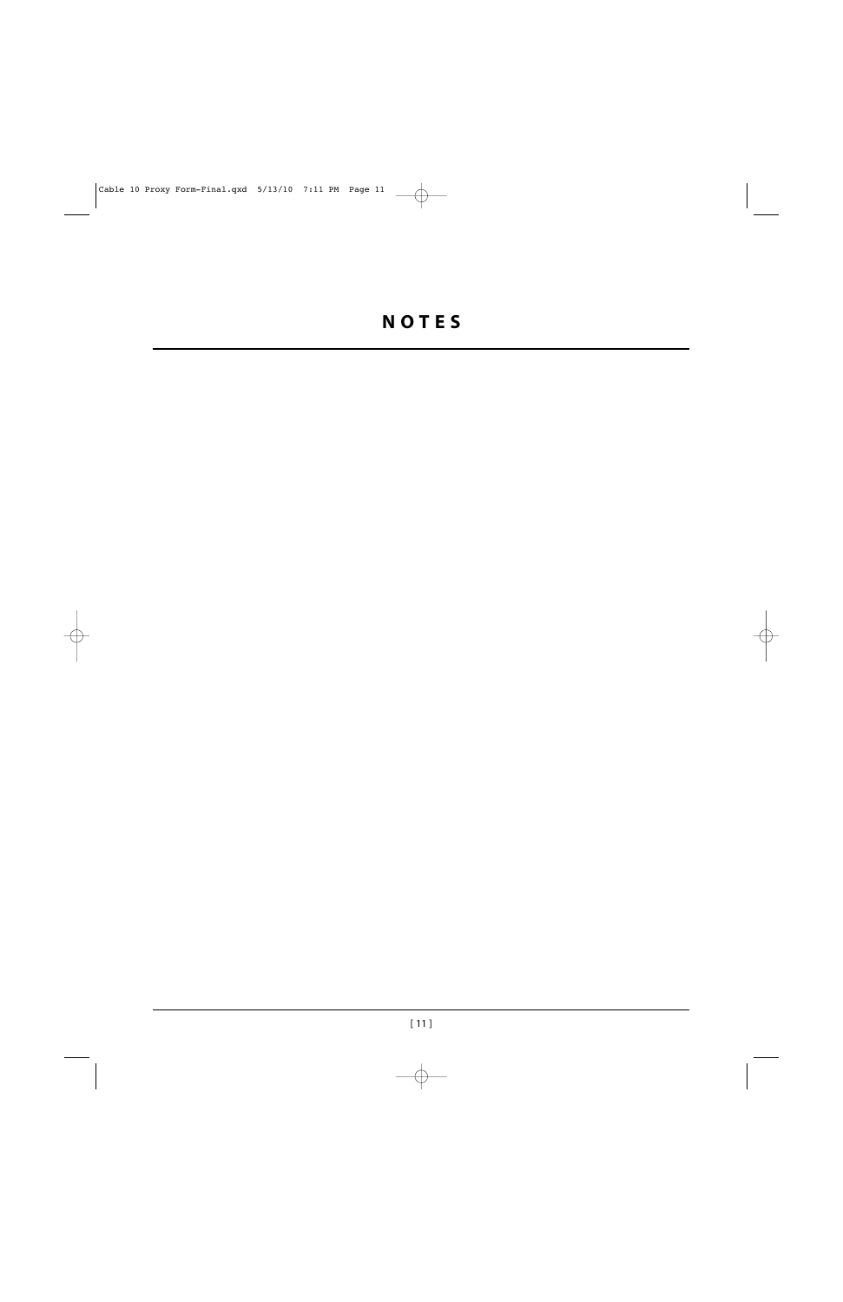# **NOTES**